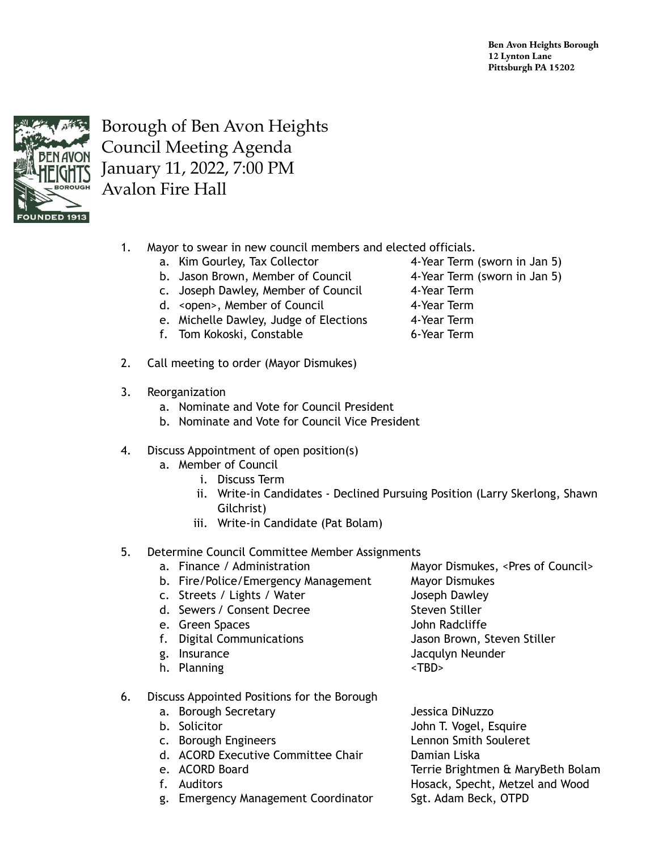**Ben Avon Heights Borough 12 Lynton Lane Pittsburgh PA 15202**



Borough of Ben Avon Heights Council Meeting Agenda January 11, 2022, 7:00 PM Avalon Fire Hall

- 1. Mayor to swear in new council members and elected officials.
	- a. Kim Gourley, Tax Collector 4-Year Term (sworn in Jan 5)
	- b. Jason Brown, Member of Council 4-Year Term (sworn in Jan 5)
	- c. Joseph Dawley, Member of Council 4-Year Term
	- d. <open>, Member of Council 4-Year Term
	- e. Michelle Dawley, Judge of Elections 4-Year Term
	- f. Tom Kokoski, Constable 6-Year Term
- 2. Call meeting to order (Mayor Dismukes)
- 3. Reorganization
	- a. Nominate and Vote for Council President
	- b. Nominate and Vote for Council Vice President
- 4. Discuss Appointment of open position(s)
	- a. Member of Council
		- i. Discuss Term
		- ii. Write-in Candidates Declined Pursuing Position (Larry Skerlong, Shawn Gilchrist)
		- iii. Write-in Candidate (Pat Bolam)
- 5. Determine Council Committee Member Assignments
	- a. Finance / Administration Mayor Dismukes, <Pres of Council>
	- b. Fire/Police/Emergency Management Mayor Dismukes
	- c. Streets / Lights / Water Joseph Dawley
	- d. Sewers / Consent Decree Steven Steven Stiller
	- e. Green Spaces and The Second Library School and John Radcliffe
	- f. Digital Communications Jason Brown, Steven Stiller
	-
	- h. Planning <TBD>
- 6. Discuss Appointed Positions for the Borough
	- a. Borough Secretary Jessica DiNuzzo
	-
	-
	- d. ACORD Executive Committee Chair **Damian Liska**
	-
	-
	- g. Emergency Management Coordinator Sgt. Adam Beck, OTPD
- 
- 
- 
- 
- 

- 
- 
- -
- g. Insurance **Jacquity** Security According Security According Security According Security According Security According Security According Security According Security According Security According Security According Security
	-
- b. Solicitor **John T. Vogel, Esquire** c. Borough Engineers Lennon Smith Souleret e. ACORD Board Terrie Brightmen & MaryBeth Bolam f. Auditors **Hosack, Specht, Metzel and Wood**